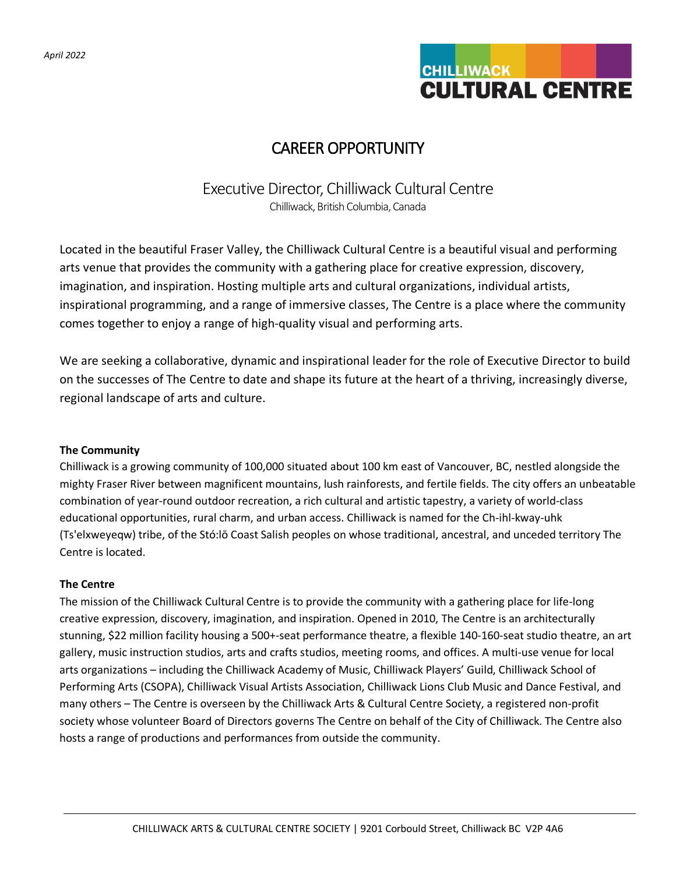

# CAREER OPPORTUNITY

# Executive Director, Chilliwack Cultural Centre Chilliwack, British Columbia, Canada

Located in the beautiful Fraser Valley, the Chilliwack Cultural Centre is a beautiful visual and performing arts venue that provides the community with a gathering place for creative expression, discovery, imagination, and inspiration. Hosting multiple arts and cultural organizations, individual artists, inspirational programming, and a range of immersive classes, The Centre is a place where the community comes together to enjoy a range of high-quality visual and performing arts.

We are seeking a collaborative, dynamic and inspirational leader for the role of Executive Director to build on the successes of The Centre to date and shape its future at the heart of a thriving, increasingly diverse, regional landscape of arts and culture.

# **The Community**

Chilliwack is a growing community of 100,000 situated about 100 km east of Vancouver, BC, nestled alongside the mighty Fraser River between magnificent mountains, lush rainforests, and fertile fields. The city offers an unbeatable combination of year-round outdoor recreation, a rich cultural and artistic tapestry, a variety of world-class educational opportunities, rural charm, and urban access. Chilliwack is named for the Ch-ihl-kway-uhk (Ts'elxweyeqw) tribe, of the Stó:lō Coast Salish peoples on whose traditional, ancestral, and unceded territory The Centre is located.

# **The Centre**

The mission of the Chilliwack Cultural Centre is to provide the community with a gathering place for life-long creative expression, discovery, imagination, and inspiration. Opened in 2010, The Centre is an architecturally stunning, \$22 million facility housing a 500+-seat performance theatre, a flexible 140-160-seat studio theatre, an art gallery, music instruction studios, arts and crafts studios, meeting rooms, and offices. A multi-use venue for local arts organizations – including the Chilliwack Academy of Music, Chilliwack Players' Guild, Chilliwack School of Performing Arts (CSOPA), Chilliwack Visual Artists Association, Chilliwack Lions Club Music and Dance Festival, and many others – The Centre is overseen by the Chilliwack Arts & Cultural Centre Society, a registered non-profit society whose volunteer Board of Directors governs The Centre on behalf of the City of Chilliwack. The Centre also hosts a range of productions and performances from outside the community.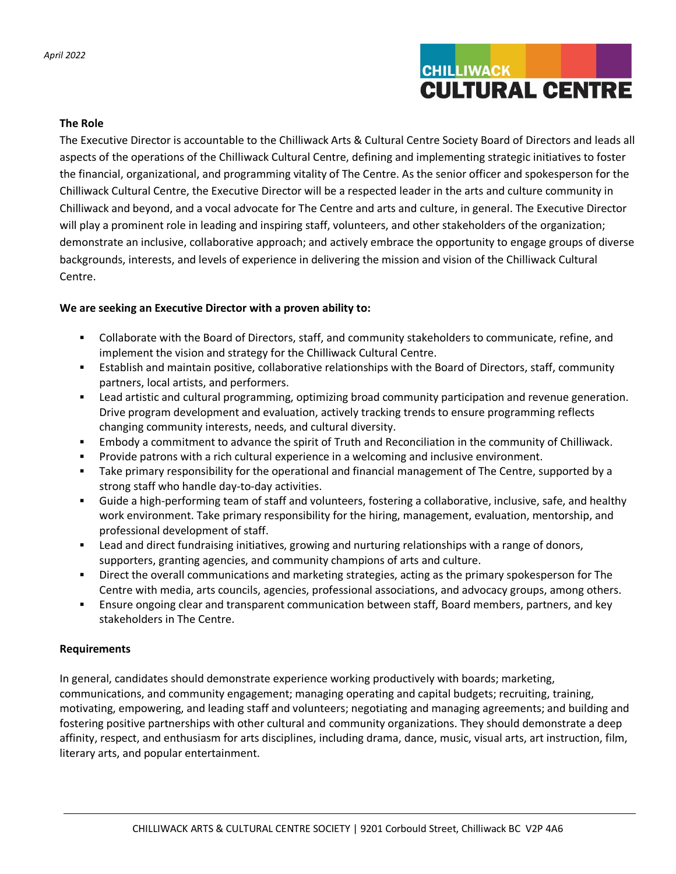

#### **The Role**

The Executive Director is accountable to the Chilliwack Arts & Cultural Centre Society Board of Directors and leads all aspects of the operations of the Chilliwack Cultural Centre, defining and implementing strategic initiatives to foster the financial, organizational, and programming vitality of The Centre. As the senior officer and spokesperson for the Chilliwack Cultural Centre, the Executive Director will be a respected leader in the arts and culture community in Chilliwack and beyond, and a vocal advocate for The Centre and arts and culture, in general. The Executive Director will play a prominent role in leading and inspiring staff, volunteers, and other stakeholders of the organization; demonstrate an inclusive, collaborative approach; and actively embrace the opportunity to engage groups of diverse backgrounds, interests, and levels of experience in delivering the mission and vision of the Chilliwack Cultural Centre.

# **We are seeking an Executive Director with a proven ability to:**

- Collaborate with the Board of Directors, staff, and community stakeholders to communicate, refine, and implement the vision and strategy for the Chilliwack Cultural Centre.
- Establish and maintain positive, collaborative relationships with the Board of Directors, staff, community partners, local artists, and performers.
- Lead artistic and cultural programming, optimizing broad community participation and revenue generation. Drive program development and evaluation, actively tracking trends to ensure programming reflects changing community interests, needs, and cultural diversity.
- Embody a commitment to advance the spirit of Truth and Reconciliation in the community of Chilliwack.
- Provide patrons with a rich cultural experience in a welcoming and inclusive environment.
- Take primary responsibility for the operational and financial management of The Centre, supported by a strong staff who handle day-to-day activities.
- Guide a high-performing team of staff and volunteers, fostering a collaborative, inclusive, safe, and healthy work environment. Take primary responsibility for the hiring, management, evaluation, mentorship, and professional development of staff.
- Lead and direct fundraising initiatives, growing and nurturing relationships with a range of donors, supporters, granting agencies, and community champions of arts and culture.
- Direct the overall communications and marketing strategies, acting as the primary spokesperson for The Centre with media, arts councils, agencies, professional associations, and advocacy groups, among others.
- Ensure ongoing clear and transparent communication between staff, Board members, partners, and key stakeholders in The Centre.

# **Requirements**

In general, candidates should demonstrate experience working productively with boards; marketing, communications, and community engagement; managing operating and capital budgets; recruiting, training, motivating, empowering, and leading staff and volunteers; negotiating and managing agreements; and building and fostering positive partnerships with other cultural and community organizations. They should demonstrate a deep affinity, respect, and enthusiasm for arts disciplines, including drama, dance, music, visual arts, art instruction, film, literary arts, and popular entertainment.